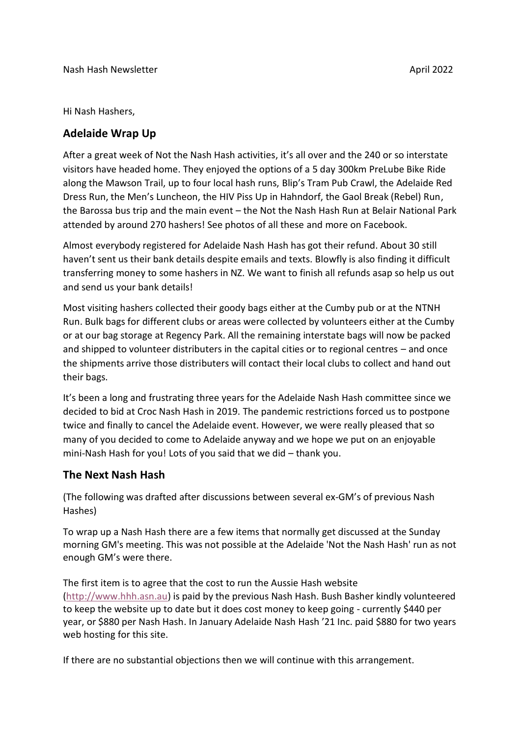Hi Nash Hashers,

## **Adelaide Wrap Up**

After a great week of Not the Nash Hash activities, it's all over and the 240 or so interstate visitors have headed home. They enjoyed the options of a 5 day 300km PreLube Bike Ride along the Mawson Trail, up to four local hash runs, Blip's Tram Pub Crawl, the Adelaide Red Dress Run, the Men's Luncheon, the HIV Piss Up in Hahndorf, the Gaol Break (Rebel) Run, the Barossa bus trip and the main event – the Not the Nash Hash Run at Belair National Park attended by around 270 hashers! See photos of all these and more on Facebook.

Almost everybody registered for Adelaide Nash Hash has got their refund. About 30 still haven't sent us their bank details despite emails and texts. Blowfly is also finding it difficult transferring money to some hashers in NZ. We want to finish all refunds asap so help us out and send us your bank details!

Most visiting hashers collected their goody bags either at the Cumby pub or at the NTNH Run. Bulk bags for different clubs or areas were collected by volunteers either at the Cumby or at our bag storage at Regency Park. All the remaining interstate bags will now be packed and shipped to volunteer distributers in the capital cities or to regional centres – and once the shipments arrive those distributers will contact their local clubs to collect and hand out their bags.

It's been a long and frustrating three years for the Adelaide Nash Hash committee since we decided to bid at Croc Nash Hash in 2019. The pandemic restrictions forced us to postpone twice and finally to cancel the Adelaide event. However, we were really pleased that so many of you decided to come to Adelaide anyway and we hope we put on an enjoyable mini-Nash Hash for you! Lots of you said that we did – thank you.

## **The Next Nash Hash**

(The following was drafted after discussions between several ex-GM's of previous Nash Hashes)

To wrap up a Nash Hash there are a few items that normally get discussed at the Sunday morning GM's meeting. This was not possible at the Adelaide 'Not the Nash Hash' run as not enough GM's were there.

The first item is to agree that the cost to run the Aussie Hash website [\(http://www.hhh.asn.au\)](http://www.hhh.asn.au/) is paid by the previous Nash Hash. Bush Basher kindly volunteered to keep the website up to date but it does cost money to keep going - currently \$440 per year, or \$880 per Nash Hash. In January Adelaide Nash Hash '21 Inc. paid \$880 for two years web hosting for this site.

If there are no substantial objections then we will continue with this arrangement.